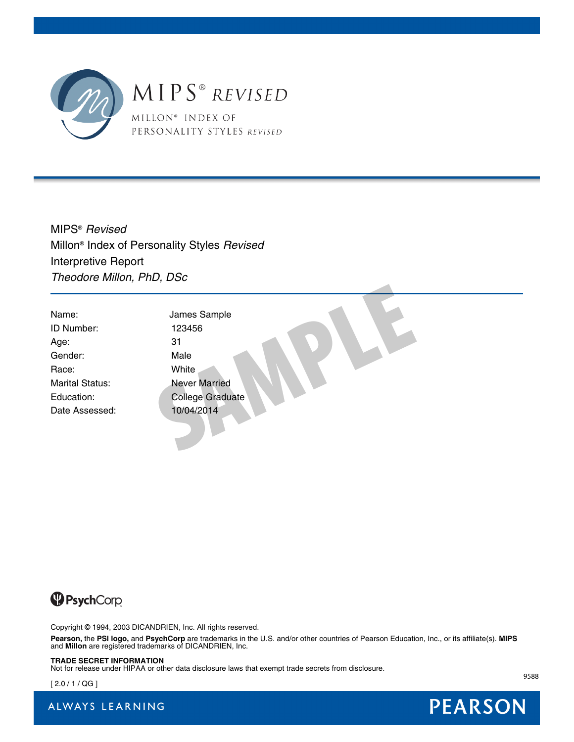

MIPS®  *Revised* Millon® Index of Personality Styles *Revised* Interpretive Report *Theodore Millon, PhD, DSc*

| Name:                  | James Sample            |  |
|------------------------|-------------------------|--|
|                        |                         |  |
| <b>ID Number:</b>      | 123456                  |  |
| Age:                   | 31                      |  |
| Gender:                | Male                    |  |
| Race:                  | White                   |  |
| <b>Marital Status:</b> | <b>Never Married</b>    |  |
| Education:             | <b>College Graduate</b> |  |
| Date Assessed:         | 10/04/2014              |  |
|                        |                         |  |



Copyright © 1994, 2003 DICANDRIEN, Inc. All rights reserved.

**Pearson,** the **PSI logo,** and **PsychCorp** are trademarks in the U.S. and/or other countries of Pearson Education, Inc., or its affiliate(s). **MIPS** and **Millon** are registered trademarks of DICANDRIEN, Inc.

#### **TRADE SECRET INFORMATION**

Not for release under HIPAA or other data disclosure laws that exempt trade secrets from disclosure.

 $[2.0 / 1 / QG]$ 

ALWAYS LEARNING



9588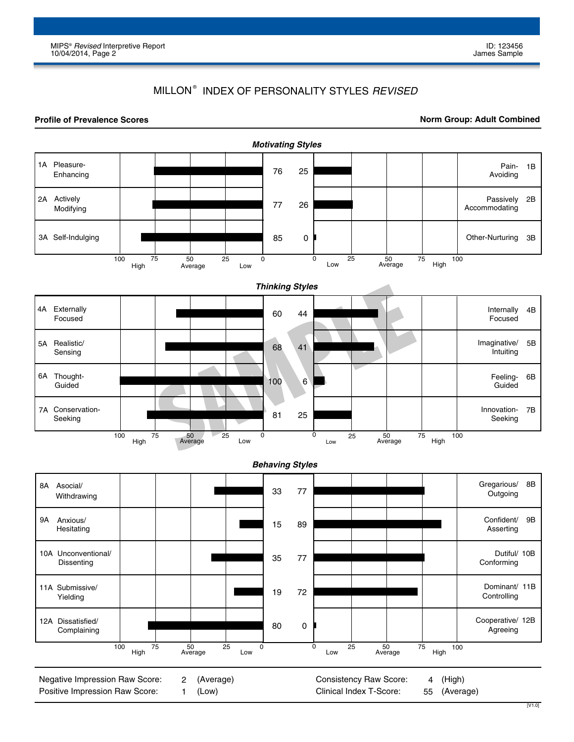#### **Profile of Prevalence Scores**

#### **Norm Group: Adult Combined**

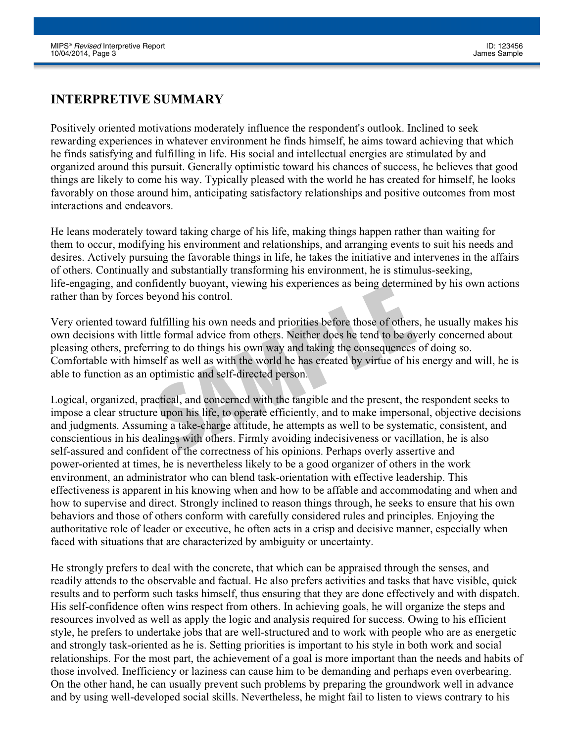## **INTERPRETIVE SUMMARY**

Positively oriented motivations moderately influence the respondent's outlook. Inclined to seek rewarding experiences in whatever environment he finds himself, he aims toward achieving that which he finds satisfying and fulfilling in life. His social and intellectual energies are stimulated by and organized around this pursuit. Generally optimistic toward his chances of success, he believes that good things are likely to come his way. Typically pleased with the world he has created for himself, he looks favorably on those around him, anticipating satisfactory relationships and positive outcomes from most interactions and endeavors.

He leans moderately toward taking charge of his life, making things happen rather than waiting for them to occur, modifying his environment and relationships, and arranging events to suit his needs and desires. Actively pursuing the favorable things in life, he takes the initiative and intervenes in the affairs of others. Continually and substantially transforming his environment, he is stimulus-seeking, life-engaging, and confidently buoyant, viewing his experiences as being determined by his own actions rather than by forces beyond his control.

Very oriented toward fulfilling his own needs and priorities before those of others, he usually makes his own decisions with little formal advice from others. Neither does he tend to be overly concerned about pleasing others, preferring to do things his own way and taking the consequences of doing so. Comfortable with himself as well as with the world he has created by virtue of his energy and will, he is able to function as an optimistic and self-directed person. Indefiny buoyant, viewing ins experiences as being determined<br>eyond his control.<br>fulfilling his own needs and priorities before those of others<br>le formal advice from others. Neither does he tend to be over<br>ing to do things

Logical, organized, practical, and concerned with the tangible and the present, the respondent seeks to impose a clear structure upon his life, to operate efficiently, and to make impersonal, objective decisions and judgments. Assuming a take-charge attitude, he attempts as well to be systematic, consistent, and conscientious in his dealings with others. Firmly avoiding indecisiveness or vacillation, he is also self-assured and confident of the correctness of his opinions. Perhaps overly assertive and power-oriented at times, he is nevertheless likely to be a good organizer of others in the work environment, an administrator who can blend task-orientation with effective leadership. This effectiveness is apparent in his knowing when and how to be affable and accommodating and when and how to supervise and direct. Strongly inclined to reason things through, he seeks to ensure that his own behaviors and those of others conform with carefully considered rules and principles. Enjoying the authoritative role of leader or executive, he often acts in a crisp and decisive manner, especially when faced with situations that are characterized by ambiguity or uncertainty.

He strongly prefers to deal with the concrete, that which can be appraised through the senses, and readily attends to the observable and factual. He also prefers activities and tasks that have visible, quick results and to perform such tasks himself, thus ensuring that they are done effectively and with dispatch. His self-confidence often wins respect from others. In achieving goals, he will organize the steps and resources involved as well as apply the logic and analysis required for success. Owing to his efficient style, he prefers to undertake jobs that are well-structured and to work with people who are as energetic and strongly task-oriented as he is. Setting priorities is important to his style in both work and social relationships. For the most part, the achievement of a goal is more important than the needs and habits of those involved. Inefficiency or laziness can cause him to be demanding and perhaps even overbearing. On the other hand, he can usually prevent such problems by preparing the groundwork well in advance and by using well-developed social skills. Nevertheless, he might fail to listen to views contrary to his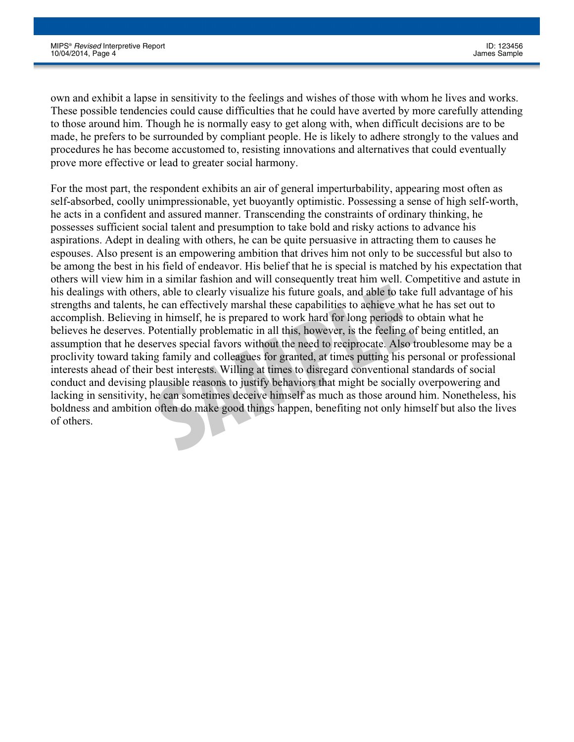own and exhibit a lapse in sensitivity to the feelings and wishes of those with whom he lives and works. These possible tendencies could cause difficulties that he could have averted by more carefully attending to those around him. Though he is normally easy to get along with, when difficult decisions are to be made, he prefers to be surrounded by compliant people. He is likely to adhere strongly to the values and procedures he has become accustomed to, resisting innovations and alternatives that could eventually prove more effective or lead to greater social harmony.

For the most part, the respondent exhibits an air of general imperturbability, appearing most often as self-absorbed, coolly unimpressionable, yet buoyantly optimistic. Possessing a sense of high self-worth, he acts in a confident and assured manner. Transcending the constraints of ordinary thinking, he possesses sufficient social talent and presumption to take bold and risky actions to advance his aspirations. Adept in dealing with others, he can be quite persuasive in attracting them to causes he espouses. Also present is an empowering ambition that drives him not only to be successful but also to be among the best in his field of endeavor. His belief that he is special is matched by his expectation that others will view him in a similar fashion and will consequently treat him well. Competitive and astute in his dealings with others, able to clearly visualize his future goals, and able to take full advantage of his strengths and talents, he can effectively marshal these capabilities to achieve what he has set out to accomplish. Believing in himself, he is prepared to work hard for long periods to obtain what he believes he deserves. Potentially problematic in all this, however, is the feeling of being entitled, an assumption that he deserves special favors without the need to reciprocate. Also troublesome may be a proclivity toward taking family and colleagues for granted, at times putting his personal or professional interests ahead of their best interests. Willing at times to disregard conventional standards of social conduct and devising plausible reasons to justify behaviors that might be socially overpowering and lacking in sensitivity, he can sometimes deceive himself as much as those around him. Nonetheless, his boldness and ambition often do make good things happen, benefiting not only himself but also the lives of others. s, able to clearly visualize his future goals, and able to take<br>ee can effectively marshal these capabilities to achieve wha<br>in himself, he is prepared to work hard for long periods to<br>botentially problematic in all this,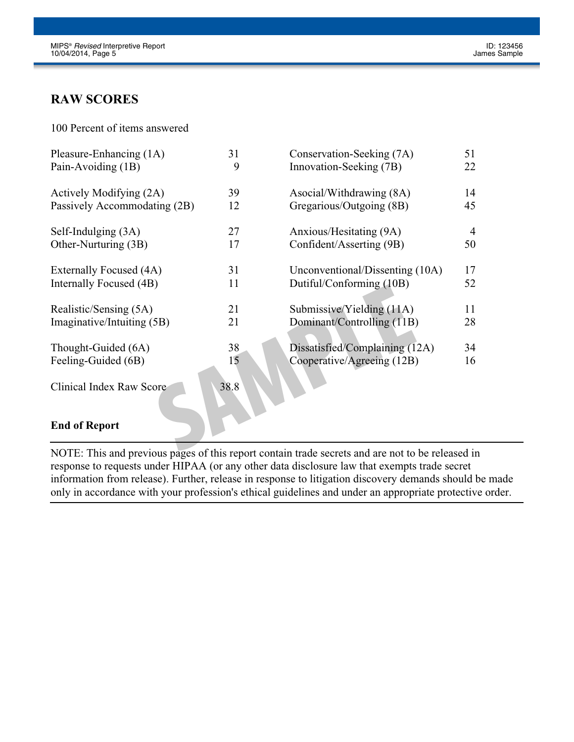## **RAW SCORES**

100 Percent of items answered

| Pleasure-Enhancing (1A)      | 31   | Conservation-Seeking (7A)                                                                        | 51 |
|------------------------------|------|--------------------------------------------------------------------------------------------------|----|
| Pain-Avoiding (1B)           | 9    | Innovation-Seeking (7B)                                                                          | 22 |
| Actively Modifying (2A)      | 39   | Asocial/Withdrawing (8A)                                                                         | 14 |
| Passively Accommodating (2B) | 12   | Gregarious/Outgoing (8B)                                                                         | 45 |
| Self-Indulging (3A)          | 27   | Anxious/Hesitating (9A)                                                                          | 4  |
| Other-Nurturing (3B)         | 17   | Confident/Asserting (9B)                                                                         | 50 |
| Externally Focused (4A)      | 31   | Unconventional/Dissenting (10A)                                                                  | 17 |
| Internally Focused (4B)      | 11   | Dutiful/Conforming (10B)                                                                         | 52 |
| Realistic/Sensing (5A)       | 21   | Submissive/Yielding (11A)                                                                        | 11 |
| Imaginative/Intuiting (5B)   | 21   | Dominant/Controlling (11B)                                                                       | 28 |
| Thought-Guided (6A)          | 38   | Dissatisfied/Complaining (12A)                                                                   | 34 |
| Feeling-Guided (6B)          | 15   | Cooperative/Agreeing (12B)                                                                       | 16 |
| Clinical Index Raw Score     | 38.8 |                                                                                                  |    |
| <b>End of Report</b>         |      |                                                                                                  |    |
|                              |      | MOTE, This and provious nagge of this report contain trade secrets and are not to be released in |    |

### **End of Report**

NOTE: This and previous pages of this report contain trade secrets and are not to be released in response to requests under HIPAA (or any other data disclosure law that exempts trade secret information from release). Further, release in response to litigation discovery demands should be made only in accordance with your profession's ethical guidelines and under an appropriate protective order.